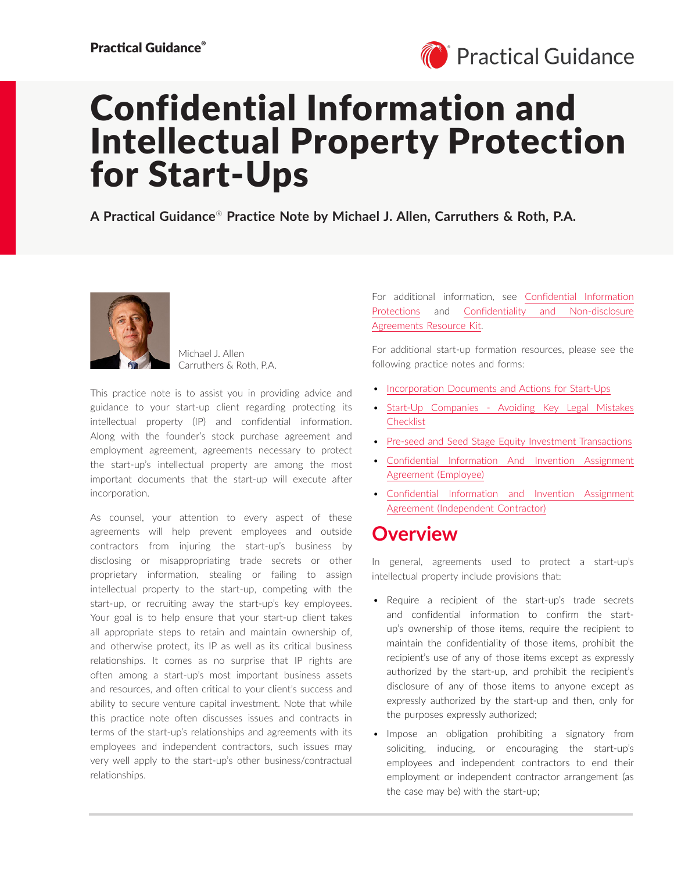

# Confidential Information and Intellectual Property Protection for Start-Ups

**A Practical Guidance**® **Practice Note by Michael J. Allen, Carruthers & Roth, P.A.**



Michael J. Allen Carruthers & Roth, P.A.

This practice note is to assist you in providing advice and guidance to your start-up client regarding protecting its intellectual property (IP) and confidential information. Along with the founder's stock purchase agreement and employment agreement, agreements necessary to protect the start-up's intellectual property are among the most important documents that the start-up will execute after incorporation.

As counsel, your attention to every aspect of these agreements will help prevent employees and outside contractors from injuring the start-up's business by disclosing or misappropriating trade secrets or other proprietary information, stealing or failing to assign intellectual property to the start-up, competing with the start-up, or recruiting away the start-up's key employees. Your goal is to help ensure that your start-up client takes all appropriate steps to retain and maintain ownership of, and otherwise protect, its IP as well as its critical business relationships. It comes as no surprise that IP rights are often among a start-up's most important business assets and resources, and often critical to your client's success and ability to secure venture capital investment. Note that while this practice note often discusses issues and contracts in terms of the start-up's relationships and agreements with its employees and independent contractors, such issues may very well apply to the start-up's other business/contractual relationships.

For additional information, see [Confidential Information](https://advance.lexis.com/open/document/lpadocument/?pdmfid=1000522&pddocfullpath=%2Fshared%2Fdocument%2Fanalytical-materials%2Furn%3AcontentItem%3A58RK-WKD1-JNY7-X028-00000-00&pdcontentcomponentid=500749&pdteaserkey=sr0&pditab=allpods&ecomp=-trg&earg=sr0) [Protections](https://advance.lexis.com/open/document/lpadocument/?pdmfid=1000522&pddocfullpath=%2Fshared%2Fdocument%2Fanalytical-materials%2Furn%3AcontentItem%3A58RK-WKD1-JNY7-X028-00000-00&pdcontentcomponentid=500749&pdteaserkey=sr0&pditab=allpods&ecomp=-trg&earg=sr0) and [Confidentiality and Non-disclosure](https://advance.lexis.com/open/document/lpadocument/?pdmfid=1000522&pddocfullpath=%2Fshared%2Fdocument%2Fanalytical-materials%2Furn%3AcontentItem%3A5SF7-M141-JP4G-622V-00000-00&pdcontentcomponentid=500749&pdteaserkey=sr0&pditab=allpods&ecomp=-trg&earg=sr0)  [Agreements Resource Kit](https://advance.lexis.com/open/document/lpadocument/?pdmfid=1000522&pddocfullpath=%2Fshared%2Fdocument%2Fanalytical-materials%2Furn%3AcontentItem%3A5SF7-M141-JP4G-622V-00000-00&pdcontentcomponentid=500749&pdteaserkey=sr0&pditab=allpods&ecomp=-trg&earg=sr0).

For additional start-up formation resources, please see the following practice notes and forms:

- [Incorporation Documents and Actions for Start-Ups](https://advance.lexis.com/open/document/lpadocument/?pdmfid=1000522&pddocfullpath=%2Fshared%2Fdocument%2Fanalytical-materials%2Furn%3AcontentItem%3A5KV3-P9D1-JKHB-61BW-00000-00&pdcontentcomponentid=500749&pdteaserkey=sr0&pditab=allpods&ecomp=-trg&earg=sr0)
- Start-Up Companies Avoiding Key Legal Mistakes **[Checklist](https://advance.lexis.com/open/document/lpadocument/?pdmfid=1000522&pddocfullpath=%2Fshared%2Fdocument%2Fforms%2Furn%3AcontentItem%3A5PMG-93G1-F30T-B0XP-00000-00&pdcontentcomponentid=500751&pdteaserkey=sr0&pditab=allpods&ecomp=-trg&earg=sr0)**
- [Pre-seed and Seed Stage Equity Investment Transactions](https://advance.lexis.com/open/document/lpadocument/?pdmfid=1000522&pddocfullpath=%2Fshared%2Fdocument%2Fanalytical-materials%2Furn%3AcontentItem%3A5MPY-N141-F7VM-S202-00000-00&pdcontentcomponentid=500749&pdteaserkey=sr0&pditab=allpods&ecomp=-trg&earg=sr0)
- [Confidential Information And Invention Assignment](https://advance.lexis.com/open/document/lpadocument/?pdmfid=1000522&pddocfullpath=%2Fshared%2Fdocument%2Fforms%2Furn%3AcontentItem%3A5M6B-FSS1-JB7K-20Y6-00000-00&pdcontentcomponentid=500752&pdteaserkey=sr0&pditab=allpods&ecomp=-trg&earg=sr0)  [Agreement \(Employee\)](https://advance.lexis.com/open/document/lpadocument/?pdmfid=1000522&pddocfullpath=%2Fshared%2Fdocument%2Fforms%2Furn%3AcontentItem%3A5M6B-FSS1-JB7K-20Y6-00000-00&pdcontentcomponentid=500752&pdteaserkey=sr0&pditab=allpods&ecomp=-trg&earg=sr0)
- [Confidential Information and Invention Assignment](https://advance.lexis.com/open/document/lpadocument/?pdmfid=1000522&pddocfullpath=%2Fshared%2Fdocument%2Fforms%2Furn%3AcontentItem%3A5M6B-FSS1-JB7K-20Y7-00000-00&pdcontentcomponentid=500752&pdteaserkey=sr0&pditab=allpods&ecomp=-trg&earg=sr0)  [Agreement \(Independent Contractor\)](https://advance.lexis.com/open/document/lpadocument/?pdmfid=1000522&pddocfullpath=%2Fshared%2Fdocument%2Fforms%2Furn%3AcontentItem%3A5M6B-FSS1-JB7K-20Y7-00000-00&pdcontentcomponentid=500752&pdteaserkey=sr0&pditab=allpods&ecomp=-trg&earg=sr0)

# **Overview**

In general, agreements used to protect a start-up's intellectual property include provisions that:

- Require a recipient of the start-up's trade secrets and confidential information to confirm the startup's ownership of those items, require the recipient to maintain the confidentiality of those items, prohibit the recipient's use of any of those items except as expressly authorized by the start-up, and prohibit the recipient's disclosure of any of those items to anyone except as expressly authorized by the start-up and then, only for the purposes expressly authorized;
- Impose an obligation prohibiting a signatory from soliciting, inducing, or encouraging the start-up's employees and independent contractors to end their employment or independent contractor arrangement (as the case may be) with the start-up;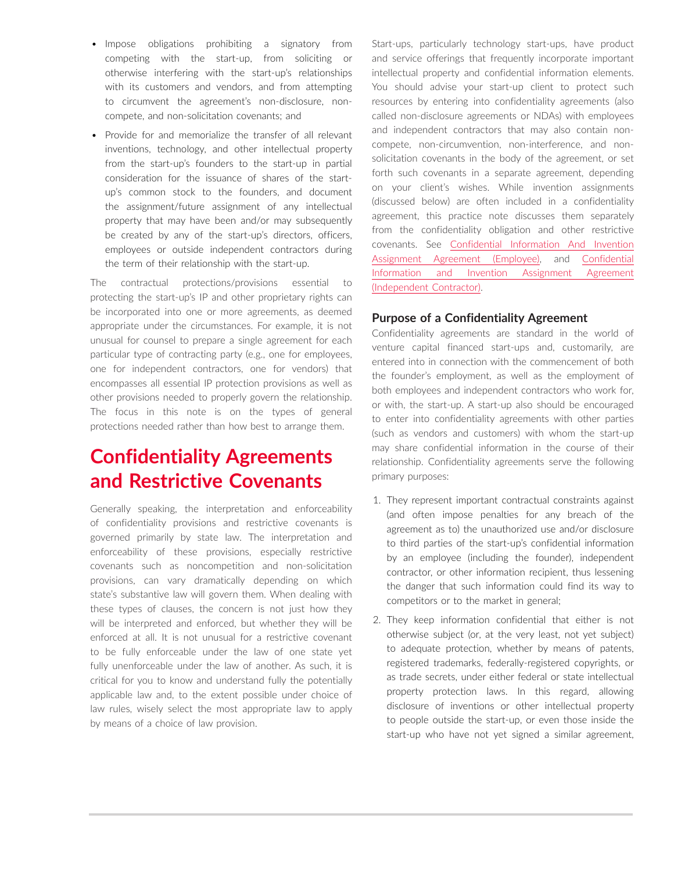- Impose obligations prohibiting a signatory from competing with the start-up, from soliciting or otherwise interfering with the start-up's relationships with its customers and vendors, and from attempting to circumvent the agreement's non-disclosure, noncompete, and non-solicitation covenants; and
- Provide for and memorialize the transfer of all relevant inventions, technology, and other intellectual property from the start-up's founders to the start-up in partial consideration for the issuance of shares of the startup's common stock to the founders, and document the assignment/future assignment of any intellectual property that may have been and/or may subsequently be created by any of the start-up's directors, officers, employees or outside independent contractors during the term of their relationship with the start-up.

The contractual protections/provisions essential to protecting the start-up's IP and other proprietary rights can be incorporated into one or more agreements, as deemed appropriate under the circumstances. For example, it is not unusual for counsel to prepare a single agreement for each particular type of contracting party (e.g., one for employees, one for independent contractors, one for vendors) that encompasses all essential IP protection provisions as well as other provisions needed to properly govern the relationship. The focus in this note is on the types of general protections needed rather than how best to arrange them.

# **Confidentiality Agreements and Restrictive Covenants**

Generally speaking, the interpretation and enforceability of confidentiality provisions and restrictive covenants is governed primarily by state law. The interpretation and enforceability of these provisions, especially restrictive covenants such as noncompetition and non-solicitation provisions, can vary dramatically depending on which state's substantive law will govern them. When dealing with these types of clauses, the concern is not just how they will be interpreted and enforced, but whether they will be enforced at all. It is not unusual for a restrictive covenant to be fully enforceable under the law of one state yet fully unenforceable under the law of another. As such, it is critical for you to know and understand fully the potentially applicable law and, to the extent possible under choice of law rules, wisely select the most appropriate law to apply by means of a choice of law provision.

Start-ups, particularly technology start-ups, have product and service offerings that frequently incorporate important intellectual property and confidential information elements. You should advise your start-up client to protect such resources by entering into confidentiality agreements (also called non-disclosure agreements or NDAs) with employees and independent contractors that may also contain noncompete, non-circumvention, non-interference, and nonsolicitation covenants in the body of the agreement, or set forth such covenants in a separate agreement, depending on your client's wishes. While invention assignments (discussed below) are often included in a confidentiality agreement, this practice note discusses them separately from the confidentiality obligation and other restrictive covenants. See [Confidential Information And Invention](https://advance.lexis.com/open/document/lpadocument/?pdmfid=1000522&pddocfullpath=%2Fshared%2Fdocument%2Fforms%2Furn%3AcontentItem%3A5M6B-FSS1-JB7K-20Y6-00000-00&pdcontentcomponentid=500752&pdteaserkey=sr0&pditab=allpods&ecomp=-trg&earg=sr0)  [Assignment Agreement \(Employee\)](https://advance.lexis.com/open/document/lpadocument/?pdmfid=1000522&pddocfullpath=%2Fshared%2Fdocument%2Fforms%2Furn%3AcontentItem%3A5M6B-FSS1-JB7K-20Y6-00000-00&pdcontentcomponentid=500752&pdteaserkey=sr0&pditab=allpods&ecomp=-trg&earg=sr0), and [Confidential](https://advance.lexis.com/open/document/lpadocument/?pdmfid=1000522&pddocfullpath=%2Fshared%2Fdocument%2Fforms%2Furn%3AcontentItem%3A5M6B-FSS1-JB7K-20Y7-00000-00&pdcontentcomponentid=500752&pdteaserkey=sr0&pditab=allpods&ecomp=-trg&earg=sr0)  [Information and Invention Assignment Agreement](https://advance.lexis.com/open/document/lpadocument/?pdmfid=1000522&pddocfullpath=%2Fshared%2Fdocument%2Fforms%2Furn%3AcontentItem%3A5M6B-FSS1-JB7K-20Y7-00000-00&pdcontentcomponentid=500752&pdteaserkey=sr0&pditab=allpods&ecomp=-trg&earg=sr0)  [\(Independent Contractor\).](https://advance.lexis.com/open/document/lpadocument/?pdmfid=1000522&pddocfullpath=%2Fshared%2Fdocument%2Fforms%2Furn%3AcontentItem%3A5M6B-FSS1-JB7K-20Y7-00000-00&pdcontentcomponentid=500752&pdteaserkey=sr0&pditab=allpods&ecomp=-trg&earg=sr0)

## **Purpose of a Confidentiality Agreement**

Confidentiality agreements are standard in the world of venture capital financed start-ups and, customarily, are entered into in connection with the commencement of both the founder's employment, as well as the employment of both employees and independent contractors who work for, or with, the start-up. A start-up also should be encouraged to enter into confidentiality agreements with other parties (such as vendors and customers) with whom the start-up may share confidential information in the course of their relationship. Confidentiality agreements serve the following primary purposes:

- 1. They represent important contractual constraints against (and often impose penalties for any breach of the agreement as to) the unauthorized use and/or disclosure to third parties of the start-up's confidential information by an employee (including the founder), independent contractor, or other information recipient, thus lessening the danger that such information could find its way to competitors or to the market in general;
- 2. They keep information confidential that either is not otherwise subject (or, at the very least, not yet subject) to adequate protection, whether by means of patents, registered trademarks, federally-registered copyrights, or as trade secrets, under either federal or state intellectual property protection laws. In this regard, allowing disclosure of inventions or other intellectual property to people outside the start-up, or even those inside the start-up who have not yet signed a similar agreement,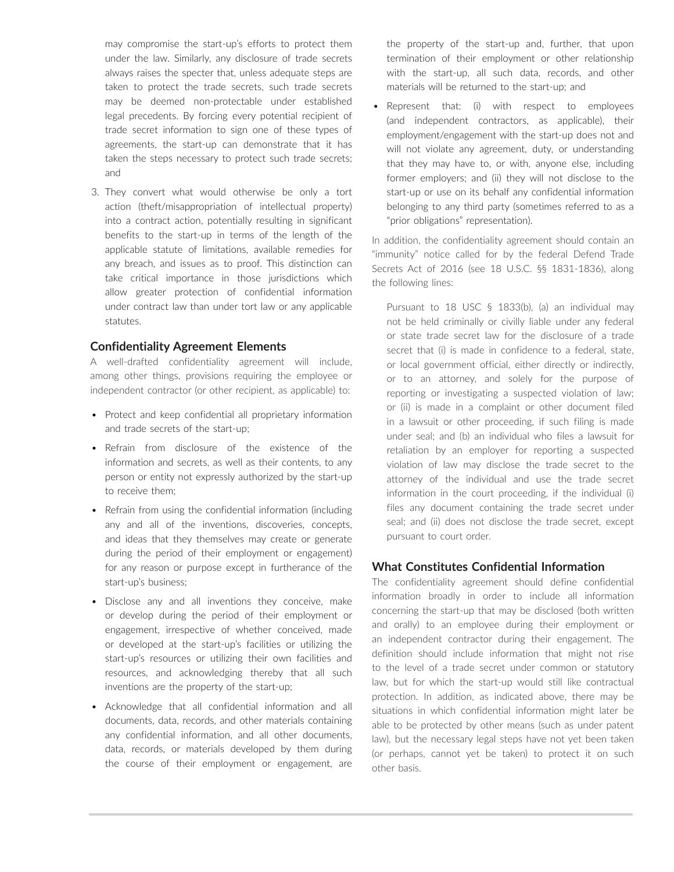may compromise the start-up's efforts to protect them under the law. Similarly, any disclosure of trade secrets always raises the specter that, unless adequate steps are taken to protect the trade secrets, such trade secrets may be deemed non-protectable under established legal precedents. By forcing every potential recipient of trade secret information to sign one of these types of agreements, the start-up can demonstrate that it has taken the steps necessary to protect such trade secrets; and

3. They convert what would otherwise be only a tort action (theft/misappropriation of intellectual property) into a contract action, potentially resulting in significant benefits to the start-up in terms of the length of the applicable statute of limitations, available remedies for any breach, and issues as to proof. This distinction can take critical importance in those jurisdictions which allow greater protection of confidential information under contract law than under tort law or any applicable statutes.

#### **Confidentiality Agreement Elements**

A well-drafted confidentiality agreement will include, among other things, provisions requiring the employee or independent contractor (or other recipient, as applicable) to:

- Protect and keep confidential all proprietary information and trade secrets of the start-up;
- Refrain from disclosure of the existence of the information and secrets, as well as their contents, to any person or entity not expressly authorized by the start-up to receive them;
- Refrain from using the confidential information (including any and all of the inventions, discoveries, concepts, and ideas that they themselves may create or generate during the period of their employment or engagement) for any reason or purpose except in furtherance of the start-up's business;
- Disclose any and all inventions they conceive, make or develop during the period of their employment or engagement, irrespective of whether conceived, made or developed at the start-up's facilities or utilizing the start-up's resources or utilizing their own facilities and resources, and acknowledging thereby that all such inventions are the property of the start-up;
- Acknowledge that all confidential information and all documents, data, records, and other materials containing any confidential information, and all other documents, data, records, or materials developed by them during the course of their employment or engagement, are

the property of the start-up and, further, that upon termination of their employment or other relationship with the start-up, all such data, records, and other materials will be returned to the start-up; and

Represent that: (i) with respect to employees (and independent contractors, as applicable), their employment/engagement with the start-up does not and will not violate any agreement, duty, or understanding that they may have to, or with, anyone else, including former employers; and (ii) they will not disclose to the start-up or use on its behalf any confidential information belonging to any third party (sometimes referred to as a "prior obligations" representation).

In addition, the confidentiality agreement should contain an "immunity" notice called for by the federal Defend Trade Secrets Act of 2016 (see 18 U.S.C. §§ 1831-1836), along the following lines:

Pursuant to 18 USC § 1833(b), (a) an individual may not be held criminally or civilly liable under any federal or state trade secret law for the disclosure of a trade secret that (i) is made in confidence to a federal, state, or local government official, either directly or indirectly, or to an attorney, and solely for the purpose of reporting or investigating a suspected violation of law; or (ii) is made in a complaint or other document filed in a lawsuit or other proceeding, if such filing is made under seal; and (b) an individual who files a lawsuit for retaliation by an employer for reporting a suspected violation of law may disclose the trade secret to the attorney of the individual and use the trade secret information in the court proceeding, if the individual (i) files any document containing the trade secret under seal; and (ii) does not disclose the trade secret, except pursuant to court order.

#### **What Constitutes Confidential Information**

The confidentiality agreement should define confidential information broadly in order to include all information concerning the start-up that may be disclosed (both written and orally) to an employee during their employment or an independent contractor during their engagement. The definition should include information that might not rise to the level of a trade secret under common or statutory law, but for which the start-up would still like contractual protection. In addition, as indicated above, there may be situations in which confidential information might later be able to be protected by other means (such as under patent law), but the necessary legal steps have not yet been taken (or perhaps, cannot yet be taken) to protect it on such other basis.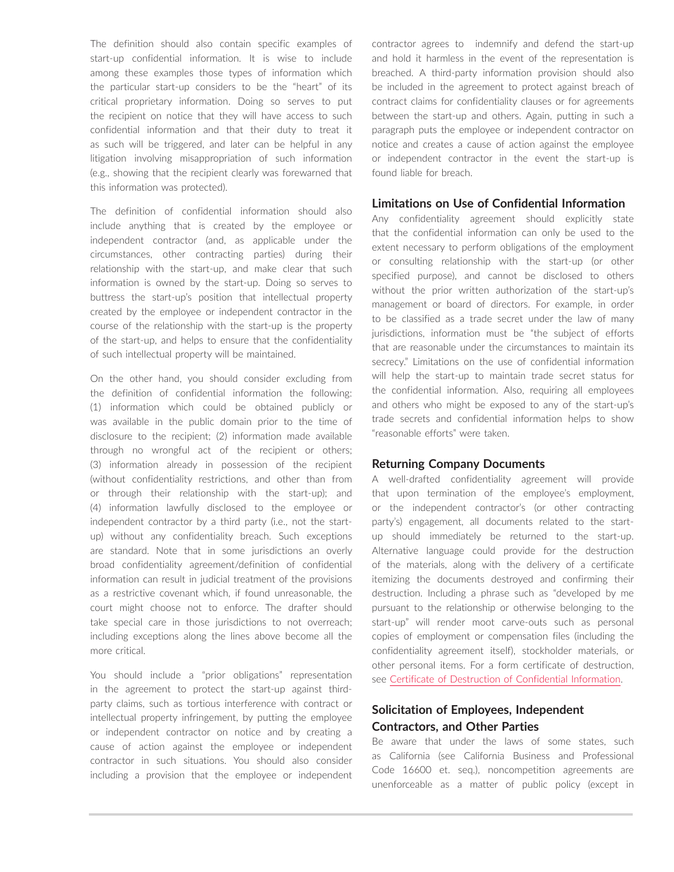The definition should also contain specific examples of start-up confidential information. It is wise to include among these examples those types of information which the particular start-up considers to be the "heart" of its critical proprietary information. Doing so serves to put the recipient on notice that they will have access to such confidential information and that their duty to treat it as such will be triggered, and later can be helpful in any litigation involving misappropriation of such information (e.g., showing that the recipient clearly was forewarned that this information was protected).

The definition of confidential information should also include anything that is created by the employee or independent contractor (and, as applicable under the circumstances, other contracting parties) during their relationship with the start-up, and make clear that such information is owned by the start-up. Doing so serves to buttress the start-up's position that intellectual property created by the employee or independent contractor in the course of the relationship with the start-up is the property of the start-up, and helps to ensure that the confidentiality of such intellectual property will be maintained.

On the other hand, you should consider excluding from the definition of confidential information the following: (1) information which could be obtained publicly or was available in the public domain prior to the time of disclosure to the recipient; (2) information made available through no wrongful act of the recipient or others; (3) information already in possession of the recipient (without confidentiality restrictions, and other than from or through their relationship with the start-up); and (4) information lawfully disclosed to the employee or independent contractor by a third party (i.e., not the startup) without any confidentiality breach. Such exceptions are standard. Note that in some jurisdictions an overly broad confidentiality agreement/definition of confidential information can result in judicial treatment of the provisions as a restrictive covenant which, if found unreasonable, the court might choose not to enforce. The drafter should take special care in those jurisdictions to not overreach; including exceptions along the lines above become all the more critical.

You should include a "prior obligations" representation in the agreement to protect the start-up against thirdparty claims, such as tortious interference with contract or intellectual property infringement, by putting the employee or independent contractor on notice and by creating a cause of action against the employee or independent contractor in such situations. You should also consider including a provision that the employee or independent contractor agrees to indemnify and defend the start-up and hold it harmless in the event of the representation is breached. A third-party information provision should also be included in the agreement to protect against breach of contract claims for confidentiality clauses or for agreements between the start-up and others. Again, putting in such a paragraph puts the employee or independent contractor on notice and creates a cause of action against the employee or independent contractor in the event the start-up is found liable for breach.

#### **Limitations on Use of Confidential Information**

Any confidentiality agreement should explicitly state that the confidential information can only be used to the extent necessary to perform obligations of the employment or consulting relationship with the start-up (or other specified purpose), and cannot be disclosed to others without the prior written authorization of the start-up's management or board of directors. For example, in order to be classified as a trade secret under the law of many jurisdictions, information must be "the subject of efforts that are reasonable under the circumstances to maintain its secrecy." Limitations on the use of confidential information will help the start-up to maintain trade secret status for the confidential information. Also, requiring all employees and others who might be exposed to any of the start-up's trade secrets and confidential information helps to show "reasonable efforts" were taken.

#### **Returning Company Documents**

A well-drafted confidentiality agreement will provide that upon termination of the employee's employment, or the independent contractor's (or other contracting party's) engagement, all documents related to the startup should immediately be returned to the start-up. Alternative language could provide for the destruction of the materials, along with the delivery of a certificate itemizing the documents destroyed and confirming their destruction. Including a phrase such as "developed by me pursuant to the relationship or otherwise belonging to the start-up" will render moot carve-outs such as personal copies of employment or compensation files (including the confidentiality agreement itself), stockholder materials, or other personal items. For a form certificate of destruction, see [Certificate of Destruction of Confidential Information.](https://advance.lexis.com/open/document/lpadocument/?pdmfid=1000522&pddocfullpath=%2Fshared%2Fdocument%2Fforms%2Furn%3AcontentItem%3A618W-6T61-FFFC-B0CD-00000-00&pdcontentcomponentid=500752&pdteaserkey=sr0&pditab=allpods&ecomp=-trg&earg=sr0)

## **Solicitation of Employees, Independent Contractors, and Other Parties**

Be aware that under the laws of some states, such as California (see California Business and Professional Code 16600 et. seq.), noncompetition agreements are unenforceable as a matter of public policy (except in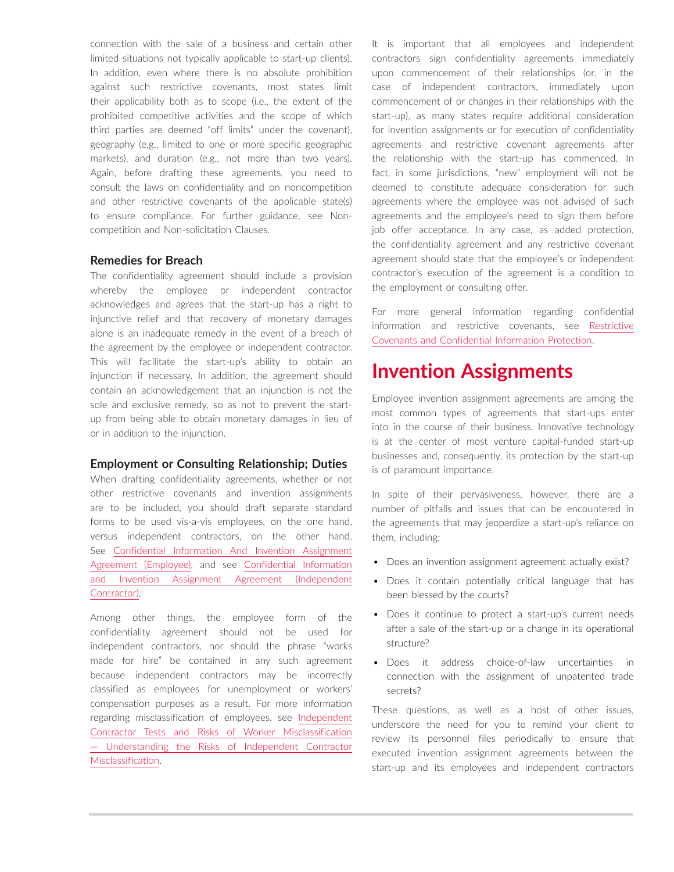connection with the sale of a business and certain other limited situations not typically applicable to start-up clients). In addition, even where there is no absolute prohibition against such restrictive covenants, most states limit their applicability both as to scope (i.e., the extent of the prohibited competitive activities and the scope of which third parties are deemed "off limits" under the covenant), geography (e.g., limited to one or more specific geographic markets), and duration (e.g., not more than two years). Again, before drafting these agreements, you need to consult the laws on confidentiality and on noncompetition and other restrictive covenants of the applicable state(s) to ensure compliance. For further guidance, see [Non](https://advance.lexis.com/open/document/lpadocument/?pdmfid=1000522&pddocfullpath=%2Fshared%2Fdocument%2Fanalytical-materials%2Furn%3AcontentItem%3A5NP8-B2B1-F873-B06S-00000-00&pdcontentcomponentid=500749&pdteaserkey=sr0&pditab=allpods&ecomp=-trg&earg=sr0)[competition and Non-solicitation Clauses](https://advance.lexis.com/open/document/lpadocument/?pdmfid=1000522&pddocfullpath=%2Fshared%2Fdocument%2Fanalytical-materials%2Furn%3AcontentItem%3A5NP8-B2B1-F873-B06S-00000-00&pdcontentcomponentid=500749&pdteaserkey=sr0&pditab=allpods&ecomp=-trg&earg=sr0).

#### **Remedies for Breach**

The confidentiality agreement should include a provision whereby the employee or independent contractor acknowledges and agrees that the start-up has a right to injunctive relief and that recovery of monetary damages alone is an inadequate remedy in the event of a breach of the agreement by the employee or independent contractor. This will facilitate the start-up's ability to obtain an injunction if necessary. In addition, the agreement should contain an acknowledgement that an injunction is not the sole and exclusive remedy, so as not to prevent the startup from being able to obtain monetary damages in lieu of or in addition to the injunction.

#### **Employment or Consulting Relationship; Duties**

When drafting confidentiality agreements, whether or not other restrictive covenants and invention assignments are to be included, you should draft separate standard forms to be used vis-a-vis employees, on the one hand, versus independent contractors, on the other hand. See [Confidential Information And Invention Assignment](https://advance.lexis.com/open/document/lpadocument/?pdmfid=1000522&pddocfullpath=%2Fshared%2Fdocument%2Fforms%2Furn%3AcontentItem%3A5M6B-FSS1-JB7K-20Y6-00000-00&pdcontentcomponentid=500752&pdteaserkey=sr0&pditab=allpods&ecomp=-trg&earg=sr0)  [Agreement \(Employee\)](https://advance.lexis.com/open/document/lpadocument/?pdmfid=1000522&pddocfullpath=%2Fshared%2Fdocument%2Fforms%2Furn%3AcontentItem%3A5M6B-FSS1-JB7K-20Y6-00000-00&pdcontentcomponentid=500752&pdteaserkey=sr0&pditab=allpods&ecomp=-trg&earg=sr0), and see [Confidential Information](https://advance.lexis.com/open/document/lpadocument/?pdmfid=1000522&pddocfullpath=%2Fshared%2Fdocument%2Fforms%2Furn%3AcontentItem%3A5M6B-FSS1-JB7K-20Y7-00000-00&pdcontentcomponentid=500752&pdteaserkey=sr0&pditab=allpods&ecomp=-trg&earg=sr0) [and Invention Assignment Agreement \(Independent](https://advance.lexis.com/open/document/lpadocument/?pdmfid=1000522&pddocfullpath=%2Fshared%2Fdocument%2Fforms%2Furn%3AcontentItem%3A5M6B-FSS1-JB7K-20Y7-00000-00&pdcontentcomponentid=500752&pdteaserkey=sr0&pditab=allpods&ecomp=-trg&earg=sr0)  [Contractor\)](https://advance.lexis.com/open/document/lpadocument/?pdmfid=1000522&pddocfullpath=%2Fshared%2Fdocument%2Fforms%2Furn%3AcontentItem%3A5M6B-FSS1-JB7K-20Y7-00000-00&pdcontentcomponentid=500752&pdteaserkey=sr0&pditab=allpods&ecomp=-trg&earg=sr0).

Among other things, the employee form of the confidentiality agreement should not be used for independent contractors, nor should the phrase "works made for hire" be contained in any such agreement because independent contractors may be incorrectly classified as employees for unemployment or workers' compensation purposes as a result. For more information regarding misclassification of employees, see [Independent](https://advance.lexis.com/open/document/lpadocument/?pdmfid=1000522&pddocfullpath=%2Fshared%2Fdocument%2Fanalytical-materials%2Furn%3AcontentItem%3A5D3S-YH11-F8SS-6129-00000-00&pdcontentcomponentid=500749&pdteaserkey=sr11&pditab=allpods&ecomp=-trg&earg=sr11)  [Contractor Tests and Risks of Worker Misclassification](https://advance.lexis.com/open/document/lpadocument/?pdmfid=1000522&pddocfullpath=%2Fshared%2Fdocument%2Fanalytical-materials%2Furn%3AcontentItem%3A5D3S-YH11-F8SS-6129-00000-00&pdcontentcomponentid=500749&pdteaserkey=sr11&pditab=allpods&ecomp=-trg&earg=sr11)  [— Understanding the Risks of Independent Contractor](https://advance.lexis.com/open/document/lpadocument/?pdmfid=1000522&pddocfullpath=%2Fshared%2Fdocument%2Fanalytical-materials%2Furn%3AcontentItem%3A5D3S-YH11-F8SS-6129-00000-00&pdcontentcomponentid=500749&pdteaserkey=sr11&pditab=allpods&ecomp=-trg&earg=sr11)  [Misclassification.](https://advance.lexis.com/open/document/lpadocument/?pdmfid=1000522&pddocfullpath=%2Fshared%2Fdocument%2Fanalytical-materials%2Furn%3AcontentItem%3A5D3S-YH11-F8SS-6129-00000-00&pdcontentcomponentid=500749&pdteaserkey=sr11&pditab=allpods&ecomp=-trg&earg=sr11)

It is important that all employees and independent contractors sign confidentiality agreements immediately upon commencement of their relationships (or, in the case of independent contractors, immediately upon commencement of or changes in their relationships with the start-up), as many states require additional consideration for invention assignments or for execution of confidentiality agreements and restrictive covenant agreements after the relationship with the start-up has commenced. In fact, in some jurisdictions, "new" employment will not be deemed to constitute adequate consideration for such agreements where the employee was not advised of such agreements and the employee's need to sign them before job offer acceptance. In any case, as added protection, the confidentiality agreement and any restrictive covenant agreement should state that the employee's or independent contractor's execution of the agreement is a condition to the employment or consulting offer.

For more general information regarding confidential information and restrictive covenants, see [Restrictive](https://advance.lexis.com/open/document/lpadocument/?pdmfid=1000522&pddocfullpath=%2Fshared%2Fdocument%2Fanalytical-materials%2Furn%3AcontentItem%3A58RK-WKC1-JNY7-X4JF-00000-00&pdcontentcomponentid=500749&pdteaserkey=sr0&pditab=allpods&ecomp=-trg&earg=sr0)  [Covenants and Confidential Information Protection.](https://advance.lexis.com/open/document/lpadocument/?pdmfid=1000522&pddocfullpath=%2Fshared%2Fdocument%2Fanalytical-materials%2Furn%3AcontentItem%3A58RK-WKC1-JNY7-X4JF-00000-00&pdcontentcomponentid=500749&pdteaserkey=sr0&pditab=allpods&ecomp=-trg&earg=sr0)

# **Invention Assignments**

Employee invention assignment agreements are among the most common types of agreements that start-ups enter into in the course of their business. Innovative technology is at the center of most venture capital-funded start-up businesses and, consequently, its protection by the start-up is of paramount importance.

In spite of their pervasiveness, however, there are a number of pitfalls and issues that can be encountered in the agreements that may jeopardize a start-up's reliance on them, including:

- Does an invention assignment agreement actually exist?
- Does it contain potentially critical language that has been blessed by the courts?
- Does it continue to protect a start-up's current needs after a sale of the start-up or a change in its operational structure?
- Does it address choice-of-law uncertainties in connection with the assignment of unpatented trade secrets?

These questions, as well as a host of other issues, underscore the need for you to remind your client to review its personnel files periodically to ensure that executed invention assignment agreements between the start-up and its employees and independent contractors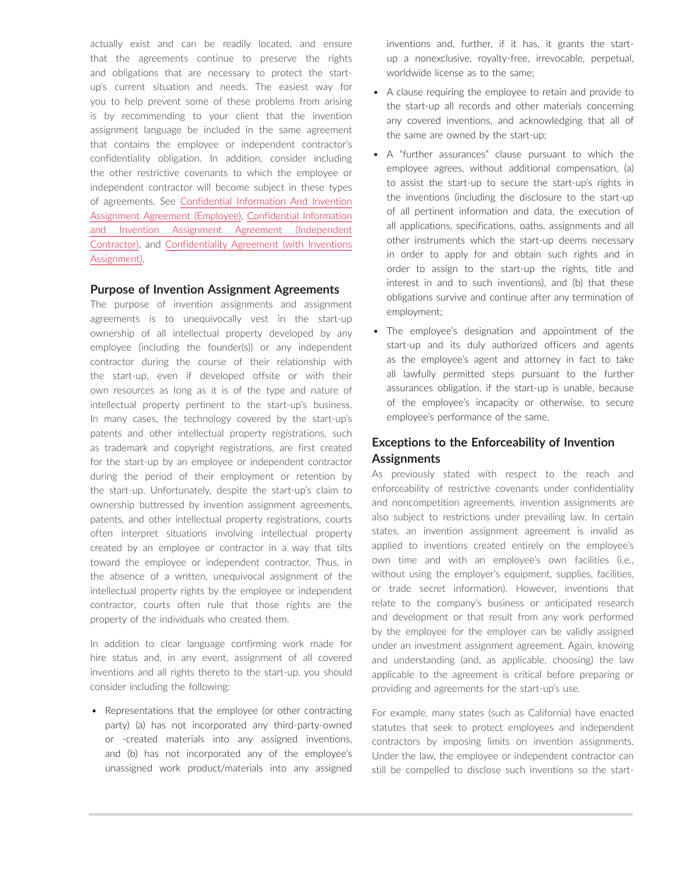actually exist and can be readily located, and ensure that the agreements continue to preserve the rights and obligations that are necessary to protect the startup's current situation and needs. The easiest way for you to help prevent some of these problems from arising is by recommending to your client that the invention assignment language be included in the same agreement that contains the employee or independent contractor's confidentiality obligation. In addition, consider including the other restrictive covenants to which the employee or independent contractor will become subject in these types of agreements. See [Confidential Information And Invention](https://advance.lexis.com/open/document/lpadocument/?pdmfid=1000522&pddocfullpath=%2Fshared%2Fdocument%2Fforms%2Furn%3AcontentItem%3A5M6B-FSS1-JB7K-20Y6-00000-00&pdcontentcomponentid=500752&pdteaserkey=sr0&pditab=allpods&ecomp=-trg&earg=sr0)  [Assignment Agreement \(Employee\)](https://advance.lexis.com/open/document/lpadocument/?pdmfid=1000522&pddocfullpath=%2Fshared%2Fdocument%2Fforms%2Furn%3AcontentItem%3A5M6B-FSS1-JB7K-20Y6-00000-00&pdcontentcomponentid=500752&pdteaserkey=sr0&pditab=allpods&ecomp=-trg&earg=sr0), [Confidential Information](https://advance.lexis.com/open/document/lpadocument/?pdmfid=1000522&pddocfullpath=%2Fshared%2Fdocument%2Fforms%2Furn%3AcontentItem%3A5M6B-FSS1-JB7K-20Y7-00000-00&pdcontentcomponentid=500752&pdteaserkey=sr0&pditab=allpods&ecomp=-trg&earg=sr0)  [and Invention Assignment Agreement \(Independent](https://advance.lexis.com/open/document/lpadocument/?pdmfid=1000522&pddocfullpath=%2Fshared%2Fdocument%2Fforms%2Furn%3AcontentItem%3A5M6B-FSS1-JB7K-20Y7-00000-00&pdcontentcomponentid=500752&pdteaserkey=sr0&pditab=allpods&ecomp=-trg&earg=sr0)  [Contractor\)](https://advance.lexis.com/open/document/lpadocument/?pdmfid=1000522&pddocfullpath=%2Fshared%2Fdocument%2Fforms%2Furn%3AcontentItem%3A5M6B-FSS1-JB7K-20Y7-00000-00&pdcontentcomponentid=500752&pdteaserkey=sr0&pditab=allpods&ecomp=-trg&earg=sr0), and [Confidentiality Agreement \(with Inventions](https://advance.lexis.com/open/document/lpadocument/?pdmfid=1000522&pddocfullpath=%2Fshared%2Fdocument%2Fforms%2Furn%3AcontentItem%3A5MN8-3301-FCSB-S2V5-00000-00&pdcontentcomponentid=500752&pdteaserkey=sr29&pditab=allpods&ecomp=-trg&earg=sr29)  [Assignment\)](https://advance.lexis.com/open/document/lpadocument/?pdmfid=1000522&pddocfullpath=%2Fshared%2Fdocument%2Fforms%2Furn%3AcontentItem%3A5MN8-3301-FCSB-S2V5-00000-00&pdcontentcomponentid=500752&pdteaserkey=sr29&pditab=allpods&ecomp=-trg&earg=sr29).

#### **Purpose of Invention Assignment Agreements**

The purpose of invention assignments and assignment agreements is to unequivocally vest in the start-up ownership of all intellectual property developed by any employee (including the founder(s)) or any independent contractor during the course of their relationship with the start-up, even if developed offsite or with their own resources as long as it is of the type and nature of intellectual property pertinent to the start-up's business. In many cases, the technology covered by the start-up's patents and other intellectual property registrations, such as trademark and copyright registrations, are first created for the start-up by an employee or independent contractor during the period of their employment or retention by the start-up. Unfortunately, despite the start-up's claim to ownership buttressed by invention assignment agreements, patents, and other intellectual property registrations, courts often interpret situations involving intellectual property created by an employee or contractor in a way that tilts toward the employee or independent contractor. Thus, in the absence of a written, unequivocal assignment of the intellectual property rights by the employee or independent contractor, courts often rule that those rights are the property of the individuals who created them.

In addition to clear language confirming work made for hire status and, in any event, assignment of all covered inventions and all rights thereto to the start-up, you should consider including the following:

• Representations that the employee (or other contracting party) (a) has not incorporated any third-party-owned or -created materials into any assigned inventions, and (b) has not incorporated any of the employee's unassigned work product/materials into any assigned inventions and, further, if it has, it grants the startup a nonexclusive, royalty-free, irrevocable, perpetual, worldwide license as to the same;

- A clause requiring the employee to retain and provide to the start-up all records and other materials concerning any covered inventions, and acknowledging that all of the same are owned by the start-up;
- A "further assurances" clause pursuant to which the employee agrees, without additional compensation, (a) to assist the start-up to secure the start-up's rights in the inventions (including the disclosure to the start-up of all pertinent information and data, the execution of all applications, specifications, oaths, assignments and all other instruments which the start-up deems necessary in order to apply for and obtain such rights and in order to assign to the start-up the rights, title and interest in and to such inventions), and (b) that these obligations survive and continue after any termination of employment;
- The employee's designation and appointment of the start-up and its duly authorized officers and agents as the employee's agent and attorney in fact to take all lawfully permitted steps pursuant to the further assurances obligation, if the start-up is unable, because of the employee's incapacity or otherwise, to secure employee's performance of the same.

## **Exceptions to the Enforceability of Invention Assignments**

As previously stated with respect to the reach and enforceability of restrictive covenants under confidentiality and noncompetition agreements, invention assignments are also subject to restrictions under prevailing law. In certain states, an invention assignment agreement is invalid as applied to inventions created entirely on the employee's own time and with an employee's own facilities (i.e., without using the employer's equipment, supplies, facilities, or trade secret information). However, inventions that relate to the company's business or anticipated research and development or that result from any work performed by the employee for the employer can be validly assigned under an investment assignment agreement. Again, knowing and understanding (and, as applicable, choosing) the law applicable to the agreement is critical before preparing or providing and agreements for the start-up's use.

For example, many states (such as California) have enacted statutes that seek to protect employees and independent contractors by imposing limits on invention assignments. Under the law, the employee or independent contractor can still be compelled to disclose such inventions so the start